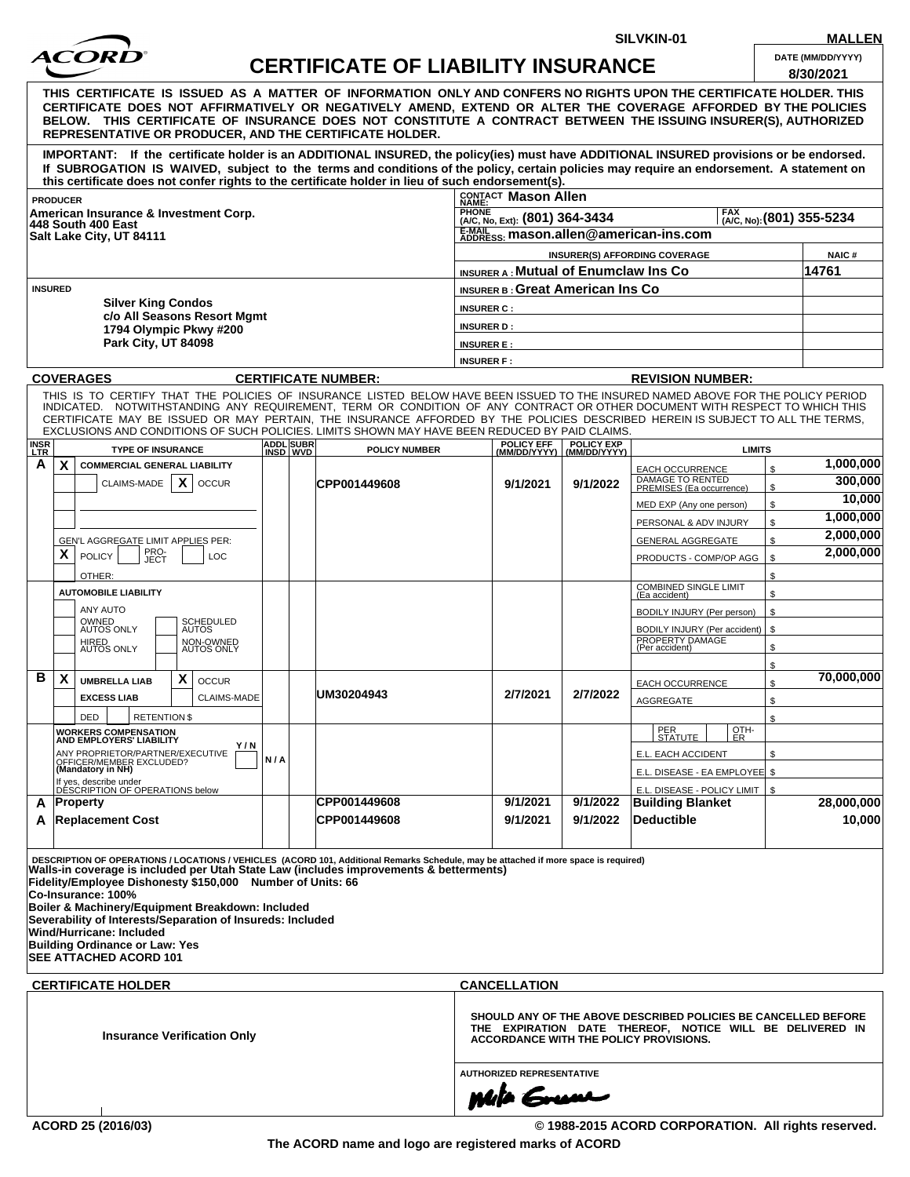

**CERTIFICATE OF LIABILITY INSURANCE** 

**SILVKIN-01 MALLEN**

| DATE (MM/DD/YYYY) |  |  |  |  |  |  |  |  |
|-------------------|--|--|--|--|--|--|--|--|
| <u>______</u> ___ |  |  |  |  |  |  |  |  |

|                                                                                                                                                                                                                                                                                                                                                                                                                                                                                                                                               |     |                                                     |                                                                                                                                                                             | LIADILI I INJUNAN'                          |                   |                                                             |              | 8/30/2021  |
|-----------------------------------------------------------------------------------------------------------------------------------------------------------------------------------------------------------------------------------------------------------------------------------------------------------------------------------------------------------------------------------------------------------------------------------------------------------------------------------------------------------------------------------------------|-----|-----------------------------------------------------|-----------------------------------------------------------------------------------------------------------------------------------------------------------------------------|---------------------------------------------|-------------------|-------------------------------------------------------------|--------------|------------|
| THIS CERTIFICATE IS ISSUED AS A MATTER OF INFORMATION ONLY AND CONFERS NO RIGHTS UPON THE CERTIFICATE HOLDER. THIS<br>CERTIFICATE DOES NOT AFFIRMATIVELY OR NEGATIVELY AMEND, EXTEND OR ALTER THE COVERAGE AFFORDED BY THE POLICIES<br>BELOW. THIS CERTIFICATE OF INSURANCE DOES NOT CONSTITUTE A CONTRACT BETWEEN THE ISSUING INSURER(S), AUTHORIZED<br><b>REPRESENTATIVE OR PRODUCER, AND THE CERTIFICATE HOLDER.</b>                                                                                                                       |     |                                                     |                                                                                                                                                                             |                                             |                   |                                                             |              |            |
| IMPORTANT: If the certificate holder is an ADDITIONAL INSURED, the policy(ies) must have ADDITIONAL INSURED provisions or be endorsed.<br>If SUBROGATION IS WAIVED, subject to the terms and conditions of the policy, certain policies may require an endorsement. A statement on<br>this certificate does not confer rights to the certificate holder in lieu of such endorsement(s).                                                                                                                                                       |     |                                                     |                                                                                                                                                                             |                                             |                   |                                                             |              |            |
| <b>PRODUCER</b>                                                                                                                                                                                                                                                                                                                                                                                                                                                                                                                               |     |                                                     |                                                                                                                                                                             | CONTACT Mason Allen                         |                   |                                                             |              |            |
| American Insurance & Investment Corp.<br>448 South 400 East<br>Salt Lake City, UT 84111                                                                                                                                                                                                                                                                                                                                                                                                                                                       |     | <b>PHONE</b><br>(A/C, No, Ext): (801) 364-3434      | (A/C, No): (801) 355-5234                                                                                                                                                   |                                             |                   |                                                             |              |            |
|                                                                                                                                                                                                                                                                                                                                                                                                                                                                                                                                               |     | E-MAIL mason.allen@american-ins.com                 |                                                                                                                                                                             |                                             |                   |                                                             |              |            |
|                                                                                                                                                                                                                                                                                                                                                                                                                                                                                                                                               |     |                                                     | <b>INSURER(S) AFFORDING COVERAGE</b>                                                                                                                                        |                                             |                   |                                                             | <b>NAIC#</b> |            |
|                                                                                                                                                                                                                                                                                                                                                                                                                                                                                                                                               |     |                                                     |                                                                                                                                                                             | <b>INSURER A: Mutual of Enumclaw Ins Co</b> |                   |                                                             |              | 14761      |
| <b>INSURED</b><br><b>Silver King Condos</b><br>c/o All Seasons Resort Mgmt<br>1794 Olympic Pkwy #200<br><b>Park City, UT 84098</b>                                                                                                                                                                                                                                                                                                                                                                                                            |     | <b>INSURER B: Great American Ins Co</b>             |                                                                                                                                                                             |                                             |                   |                                                             |              |            |
|                                                                                                                                                                                                                                                                                                                                                                                                                                                                                                                                               |     | <b>INSURER C:</b>                                   |                                                                                                                                                                             |                                             |                   |                                                             |              |            |
|                                                                                                                                                                                                                                                                                                                                                                                                                                                                                                                                               |     | <b>INSURER D:</b>                                   |                                                                                                                                                                             |                                             |                   |                                                             |              |            |
|                                                                                                                                                                                                                                                                                                                                                                                                                                                                                                                                               |     |                                                     | <b>INSURER E:</b>                                                                                                                                                           |                                             |                   |                                                             |              |            |
|                                                                                                                                                                                                                                                                                                                                                                                                                                                                                                                                               |     |                                                     |                                                                                                                                                                             | <b>INSURER F:</b>                           |                   |                                                             |              |            |
| <b>COVERAGES</b>                                                                                                                                                                                                                                                                                                                                                                                                                                                                                                                              |     |                                                     | <b>CERTIFICATE NUMBER:</b>                                                                                                                                                  |                                             |                   | <b>REVISION NUMBER:</b>                                     |              |            |
| THIS IS TO CERTIFY THAT THE POLICIES OF INSURANCE LISTED BELOW HAVE BEEN ISSUED TO THE INSURED NAMED ABOVE FOR THE POLICY PERIOD<br>INDICATED. NOTWITHSTANDING ANY REQUIREMENT, TERM OR CONDITION OF ANY CONTRACT OR OTHER DOCUMENT WITH RESPECT TO WHICH THIS<br>CERTIFICATE MAY BE ISSUED OR MAY PERTAIN, THE INSURANCE AFFORDED BY THE POLICIES DESCRIBED HEREIN IS SUBJECT TO ALL THE TERMS,<br>EXCLUSIONS AND CONDITIONS OF SUCH POLICIES. LIMITS SHOWN MAY HAVE BEEN REDUCED BY PAID CLAIMS.<br><b>INSR</b><br><b>TYPE OF INSURANCE</b> |     | <b>ADDL</b> SUBR                                    | <b>POLICY NUMBER</b>                                                                                                                                                        | POLICY EFF                                  | <b>POLICY EXP</b> | <b>LIMITS</b>                                               |              |            |
| A<br>$\mathsf{x}$<br><b>COMMERCIAL GENERAL LIABILITY</b>                                                                                                                                                                                                                                                                                                                                                                                                                                                                                      |     | INSD WVD                                            |                                                                                                                                                                             | (MM/DD/YYYY) (MM/DD/YYYY)                   |                   | EACH OCCURRENCE                                             | \$           | 1,000,000  |
| X<br>CLAIMS-MADE<br><b>OCCUR</b>                                                                                                                                                                                                                                                                                                                                                                                                                                                                                                              |     |                                                     | CPP001449608                                                                                                                                                                | 9/1/2021                                    | 9/1/2022          | DAMAGE TO RENTED<br>PREMISES (Ea occurrence)                | \$           | 300,000    |
|                                                                                                                                                                                                                                                                                                                                                                                                                                                                                                                                               |     |                                                     |                                                                                                                                                                             |                                             |                   | MED EXP (Any one person)                                    | \$           | 10,000     |
|                                                                                                                                                                                                                                                                                                                                                                                                                                                                                                                                               |     |                                                     |                                                                                                                                                                             |                                             |                   | PERSONAL & ADV INJURY                                       | \$           | 1,000,000  |
| GEN'L AGGREGATE LIMIT APPLIES PER:                                                                                                                                                                                                                                                                                                                                                                                                                                                                                                            |     |                                                     |                                                                                                                                                                             |                                             |                   | <b>GENERAL AGGREGATE</b>                                    | \$           | 2,000,000  |
| PRO-<br>JECT<br>X<br><b>POLICY</b><br>LOC                                                                                                                                                                                                                                                                                                                                                                                                                                                                                                     |     |                                                     |                                                                                                                                                                             |                                             |                   | PRODUCTS - COMP/OP AGG                                      | \$           | 2,000,000  |
| OTHER:                                                                                                                                                                                                                                                                                                                                                                                                                                                                                                                                        |     |                                                     |                                                                                                                                                                             |                                             |                   |                                                             | \$           |            |
| <b>AUTOMOBILE LIABILITY</b>                                                                                                                                                                                                                                                                                                                                                                                                                                                                                                                   |     | <b>COMBINED SINGLE LIMIT</b><br>\$<br>(Ea accident) |                                                                                                                                                                             |                                             |                   |                                                             |              |            |
| ANY AUTO                                                                                                                                                                                                                                                                                                                                                                                                                                                                                                                                      |     |                                                     |                                                                                                                                                                             |                                             |                   | BODILY INJURY (Per person)                                  | \$           |            |
| OWNED<br>AUTOS ONLY<br>SCHEDULED<br><b>AUTOS</b>                                                                                                                                                                                                                                                                                                                                                                                                                                                                                              |     |                                                     |                                                                                                                                                                             |                                             |                   | BODILY INJURY (Per accident)                                | \$           |            |
| HIRED<br>AUTOS ONLY<br>NON-OWNED<br>AUTOS ONLY                                                                                                                                                                                                                                                                                                                                                                                                                                                                                                |     |                                                     |                                                                                                                                                                             |                                             |                   | PROPERTY DAMAGE<br>(Per accident)                           | \$           |            |
|                                                                                                                                                                                                                                                                                                                                                                                                                                                                                                                                               |     |                                                     |                                                                                                                                                                             |                                             |                   |                                                             | \$           |            |
| В<br>X<br>X<br><b>UMBRELLA LIAB</b><br><b>OCCUR</b>                                                                                                                                                                                                                                                                                                                                                                                                                                                                                           |     |                                                     | UM30204943                                                                                                                                                                  | 2/7/2021                                    | 2/7/2022          | EACH OCCURRENCE                                             | \$           | 70,000,000 |
| <b>EXCESS LIAB</b><br><b>CLAIMS-MADE</b>                                                                                                                                                                                                                                                                                                                                                                                                                                                                                                      |     |                                                     |                                                                                                                                                                             |                                             |                   | <b>AGGREGATE</b>                                            | \$           |            |
| <b>RETENTION \$</b><br><b>DED</b><br><b>WORKERS COMPENSATION</b>                                                                                                                                                                                                                                                                                                                                                                                                                                                                              |     |                                                     |                                                                                                                                                                             |                                             |                   | PER<br>OTH-                                                 | \$           |            |
| AND EMPLOYERS' LIABILITY<br>Y/N                                                                                                                                                                                                                                                                                                                                                                                                                                                                                                               |     |                                                     |                                                                                                                                                                             |                                             |                   | <u>  STATUTE_I</u><br><u>I ER</u>                           |              |            |
| ANY PROPRIETOR/PARTNER/EXECUTIVE<br>OFFICER/MEMBER EXCLUDED?<br>(Mandatory in NH)                                                                                                                                                                                                                                                                                                                                                                                                                                                             | N/A |                                                     |                                                                                                                                                                             |                                             |                   | E.L. EACH ACCIDENT                                          | \$           |            |
| If yes, describe under<br>DESCRIPTION OF OPERATIONS below                                                                                                                                                                                                                                                                                                                                                                                                                                                                                     |     |                                                     |                                                                                                                                                                             |                                             |                   | E.L. DISEASE - EA EMPLOYEE \$                               |              |            |
| Property<br>A                                                                                                                                                                                                                                                                                                                                                                                                                                                                                                                                 |     |                                                     | CPP001449608                                                                                                                                                                | 9/1/2021                                    | 9/1/2022          | E.L. DISEASE - POLICY LIMIT   \$<br><b>Building Blanket</b> |              | 28,000,000 |
| <b>Replacement Cost</b><br>A                                                                                                                                                                                                                                                                                                                                                                                                                                                                                                                  |     |                                                     | <b>CPP001449608</b>                                                                                                                                                         | 9/1/2021                                    | 9/1/2022          | <b>Deductible</b>                                           |              | 10,000     |
|                                                                                                                                                                                                                                                                                                                                                                                                                                                                                                                                               |     |                                                     |                                                                                                                                                                             |                                             |                   |                                                             |              |            |
| DESCRIPTION OF OPERATIONS / LOCATIONS / VEHICLES (ACORD 101, Additional Remarks Schedule, may be attached if more space is required)<br>Walls-in coverage is included per Utah State Law (includes improvements & betterments)<br>Fidelity/Employee Dishonesty \$150,000 Number of Units: 66<br>Co-Insurance: 100%<br>Boiler & Machinery/Equipment Breakdown: Included<br>Severability of Interests/Separation of Insureds: Included<br>Wind/Hurricane: Included<br><b>Building Ordinance or Law: Yes</b><br>SEE ATTACHED ACORD 101           |     |                                                     |                                                                                                                                                                             |                                             |                   |                                                             |              |            |
| <b>CERTIFICATE HOLDER</b>                                                                                                                                                                                                                                                                                                                                                                                                                                                                                                                     |     |                                                     |                                                                                                                                                                             | <b>CANCELLATION</b>                         |                   |                                                             |              |            |
| <b>Insurance Verification Only</b>                                                                                                                                                                                                                                                                                                                                                                                                                                                                                                            |     |                                                     | SHOULD ANY OF THE ABOVE DESCRIBED POLICIES BE CANCELLED BEFORE<br>THE EXPIRATION DATE THEREOF, NOTICE WILL BE DELIVERED IN<br><b>ACCORDANCE WITH THE POLICY PROVISIONS.</b> |                                             |                   |                                                             |              |            |
| <b>AUTHORIZED REPRESENTATIVE</b>                                                                                                                                                                                                                                                                                                                                                                                                                                                                                                              |     |                                                     |                                                                                                                                                                             |                                             |                   |                                                             |              |            |
|                                                                                                                                                                                                                                                                                                                                                                                                                                                                                                                                               |     |                                                     |                                                                                                                                                                             | <b>Mila Grum</b>                            |                   |                                                             |              |            |
|                                                                                                                                                                                                                                                                                                                                                                                                                                                                                                                                               |     |                                                     |                                                                                                                                                                             |                                             |                   |                                                             |              |            |
| ACORD 25 (2016/03)                                                                                                                                                                                                                                                                                                                                                                                                                                                                                                                            |     |                                                     |                                                                                                                                                                             |                                             |                   | © 1988-2015 ACORD CORPORATION. All rights reserved.         |              |            |